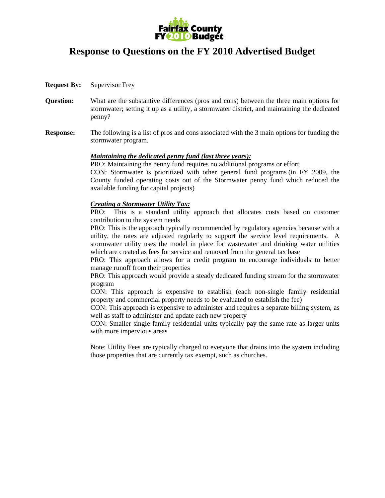

## **Response to Questions on the FY 2010 Advertised Budget**

- **Request By:** Supervisor Frey
- **Question:** What are the substantive differences (pros and cons) between the three main options for stormwater; setting it up as a utility, a stormwater district, and maintaining the dedicated penny?
- **Response:** The following is a list of pros and cons associated with the 3 main options for funding the stormwater program.

## *Maintaining the dedicated penny fund (last three years):*

PRO: Maintaining the penny fund requires no additional programs or effort

 CON: Stormwater is prioritized with other general fund programs (in FY 2009, the County funded operating costs out of the Stormwater penny fund which reduced the available funding for capital projects)

## *Creating a Stormwater Utility Tax:*

 PRO: This is a standard utility approach that allocates costs based on customer contribution to the system needs

 PRO: This is the approach typically recommended by regulatory agencies because with a utility, the rates are adjusted regularly to support the service level requirements. A stormwater utility uses the model in place for wastewater and drinking water utilities which are created as fees for service and removed from the general tax base

 PRO: This approach allows for a credit program to encourage individuals to better manage runoff from their properties

 PRO: This approach would provide a steady dedicated funding stream for the stormwater program

 CON: This approach is expensive to establish (each non-single family residential property and commercial property needs to be evaluated to establish the fee)

 CON: This approach is expensive to administer and requires a separate billing system, as well as staff to administer and update each new property

 CON: Smaller single family residential units typically pay the same rate as larger units with more impervious areas

 Note: Utility Fees are typically charged to everyone that drains into the system including those properties that are currently tax exempt, such as churches.